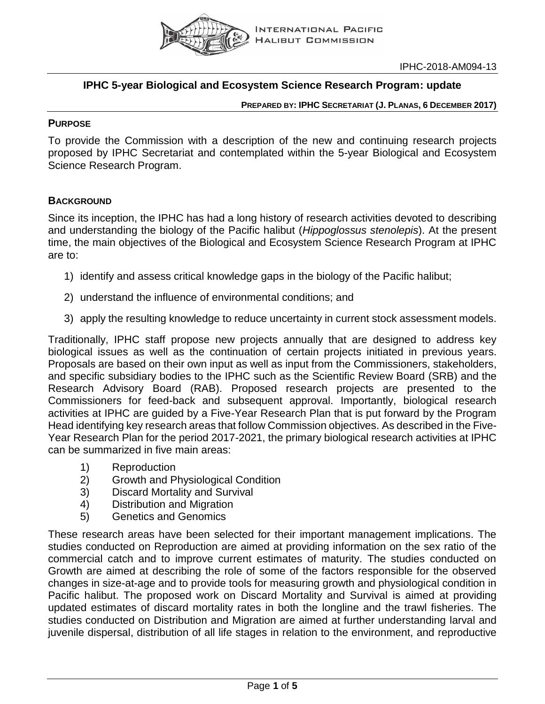

IPHC-2018-AM094-13

### **IPHC 5-year Biological and Ecosystem Science Research Program: update**

#### **PREPARED BY: IPHC SECRETARIAT (J. PLANAS, 6 DECEMBER 2017)**

#### **PURPOSE**

To provide the Commission with a description of the new and continuing research projects proposed by IPHC Secretariat and contemplated within the 5-year Biological and Ecosystem Science Research Program.

### **BACKGROUND**

Since its inception, the IPHC has had a long history of research activities devoted to describing and understanding the biology of the Pacific halibut (*Hippoglossus stenolepis*). At the present time, the main objectives of the Biological and Ecosystem Science Research Program at IPHC are to:

- 1) identify and assess critical knowledge gaps in the biology of the Pacific halibut;
- 2) understand the influence of environmental conditions; and
- 3) apply the resulting knowledge to reduce uncertainty in current stock assessment models.

Traditionally, IPHC staff propose new projects annually that are designed to address key biological issues as well as the continuation of certain projects initiated in previous years. Proposals are based on their own input as well as input from the Commissioners, stakeholders, and specific subsidiary bodies to the IPHC such as the Scientific Review Board (SRB) and the Research Advisory Board (RAB). Proposed research projects are presented to the Commissioners for feed-back and subsequent approval. Importantly, biological research activities at IPHC are guided by a Five-Year Research Plan that is put forward by the Program Head identifying key research areas that follow Commission objectives. As described in the Five-Year Research Plan for the period 2017-2021, the primary biological research activities at IPHC can be summarized in five main areas:

- 1) Reproduction
- 2) Growth and Physiological Condition
- 3) Discard Mortality and Survival
- 4) Distribution and Migration
- 5) Genetics and Genomics

These research areas have been selected for their important management implications. The studies conducted on Reproduction are aimed at providing information on the sex ratio of the commercial catch and to improve current estimates of maturity. The studies conducted on Growth are aimed at describing the role of some of the factors responsible for the observed changes in size-at-age and to provide tools for measuring growth and physiological condition in Pacific halibut. The proposed work on Discard Mortality and Survival is aimed at providing updated estimates of discard mortality rates in both the longline and the trawl fisheries. The studies conducted on Distribution and Migration are aimed at further understanding larval and juvenile dispersal, distribution of all life stages in relation to the environment, and reproductive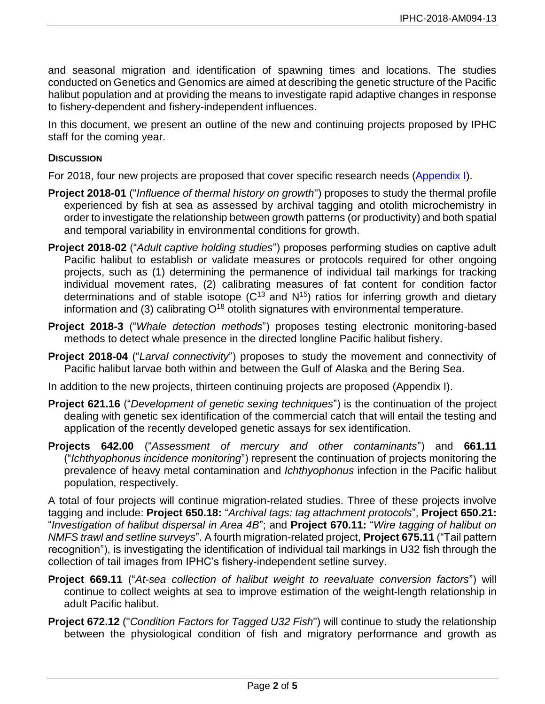and seasonal migration and identification of spawning times and locations. The studies conducted on Genetics and Genomics are aimed at describing the genetic structure of the Pacific halibut population and at providing the means to investigate rapid adaptive changes in response to fishery-dependent and fishery-independent influences.

In this document, we present an outline of the new and continuing projects proposed by IPHC staff for the coming year.

#### **DISCUSSION**

For 2018, four new projects are proposed that cover specific research needs [\(Appendix I\)](#page-3-0).

- **Project 2018-01** ("*Influence of thermal history on growth*") proposes to study the thermal profile experienced by fish at sea as assessed by archival tagging and otolith microchemistry in order to investigate the relationship between growth patterns (or productivity) and both spatial and temporal variability in environmental conditions for growth.
- **Project 2018-02** ("*Adult captive holding studies*") proposes performing studies on captive adult Pacific halibut to establish or validate measures or protocols required for other ongoing projects, such as (1) determining the permanence of individual tail markings for tracking individual movement rates, (2) calibrating measures of fat content for condition factor determinations and of stable isotope  $(C^{13}$  and  $N^{15})$  ratios for inferring growth and dietary information and (3) calibrating  $O^{18}$  otolith signatures with environmental temperature.
- **Project 2018-3** ("*Whale detection methods*") proposes testing electronic monitoring-based methods to detect whale presence in the directed longline Pacific halibut fishery.
- **Project 2018-04** ("*Larval connectivity*") proposes to study the movement and connectivity of Pacific halibut larvae both within and between the Gulf of Alaska and the Bering Sea.

In addition to the new projects, thirteen continuing projects are proposed (Appendix I).

- **Project 621.16** ("*Development of genetic sexing techniques*") is the continuation of the project dealing with genetic sex identification of the commercial catch that will entail the testing and application of the recently developed genetic assays for sex identification.
- **Projects 642.00** ("*Assessment of mercury and other contaminants*") and **661.11** ("*Ichthyophonus incidence monitoring*") represent the continuation of projects monitoring the prevalence of heavy metal contamination and *Ichthyophonus* infection in the Pacific halibut population, respectively.

A total of four projects will continue migration-related studies. Three of these projects involve tagging and include: **Project 650.18:** "*Archival tags: tag attachment protocols*", **Project 650.21:** "*Investigation of halibut dispersal in Area 4B*"; and **Project 670.11:** "*Wire tagging of halibut on NMFS trawl and setline surveys*". A fourth migration-related project, **Project 675.11** ("Tail pattern recognition"), is investigating the identification of individual tail markings in U32 fish through the collection of tail images from IPHC's fishery-independent setline survey.

- **Project 669.11** ("*At-sea collection of halibut weight to reevaluate conversion factors*") will continue to collect weights at sea to improve estimation of the weight-length relationship in adult Pacific halibut.
- **Project 672.12** ("*Condition Factors for Tagged U32 Fish*") will continue to study the relationship between the physiological condition of fish and migratory performance and growth as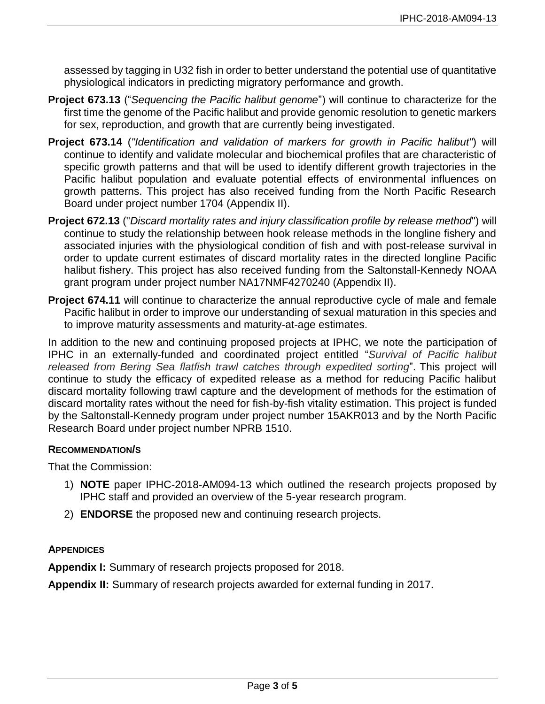assessed by tagging in U32 fish in order to better understand the potential use of quantitative physiological indicators in predicting migratory performance and growth.

- **Project 673.13** ("*Sequencing the Pacific halibut genome*") will continue to characterize for the first time the genome of the Pacific halibut and provide genomic resolution to genetic markers for sex, reproduction, and growth that are currently being investigated.
- **Project 673.14** (*"Identification and validation of markers for growth in Pacific halibut"*) will continue to identify and validate molecular and biochemical profiles that are characteristic of specific growth patterns and that will be used to identify different growth trajectories in the Pacific halibut population and evaluate potential effects of environmental influences on growth patterns. This project has also received funding from the North Pacific Research Board under project number 1704 (Appendix II).
- **Project 672.13** ("*Discard mortality rates and injury classification profile by release method*") will continue to study the relationship between hook release methods in the longline fishery and associated injuries with the physiological condition of fish and with post-release survival in order to update current estimates of discard mortality rates in the directed longline Pacific halibut fishery. This project has also received funding from the Saltonstall-Kennedy NOAA grant program under project number NA17NMF4270240 (Appendix II).
- **Project 674.11** will continue to characterize the annual reproductive cycle of male and female Pacific halibut in order to improve our understanding of sexual maturation in this species and to improve maturity assessments and maturity-at-age estimates.

In addition to the new and continuing proposed projects at IPHC, we note the participation of IPHC in an externally-funded and coordinated project entitled "*Survival of Pacific halibut released from Bering Sea flatfish trawl catches through expedited sorting*". This project will continue to study the efficacy of expedited release as a method for reducing Pacific halibut discard mortality following trawl capture and the development of methods for the estimation of discard mortality rates without the need for fish-by-fish vitality estimation. This project is funded by the Saltonstall-Kennedy program under project number 15AKR013 and by the North Pacific Research Board under project number NPRB 1510.

#### **RECOMMENDATION/S**

That the Commission:

- 1) **NOTE** paper IPHC-2018-AM094-13 which outlined the research projects proposed by IPHC staff and provided an overview of the 5-year research program.
- 2) **ENDORSE** the proposed new and continuing research projects.

#### **APPENDICES**

**Appendix I:** Summary of research projects proposed for 2018.

**Appendix II:** Summary of research projects awarded for external funding in 2017.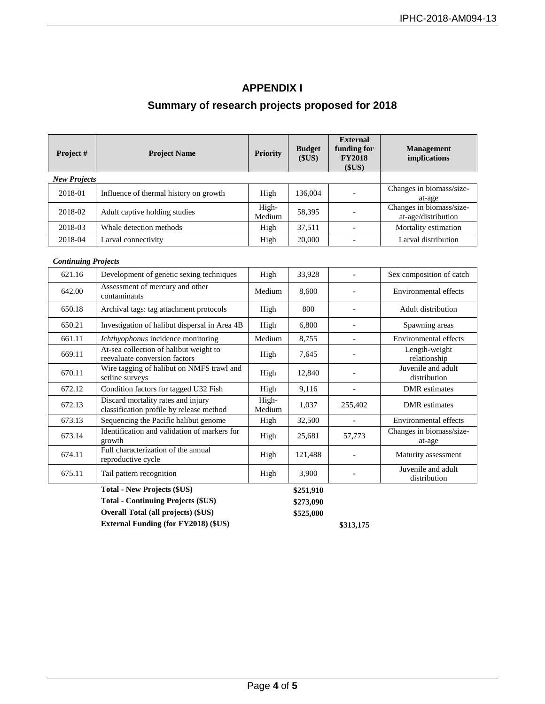#### **APPENDIX I**

# **Summary of research projects proposed for 2018**

<span id="page-3-0"></span>

| Project #           | <b>Project Name</b>                    | <b>Priority</b> | <b>Budget</b><br>\$US) | <b>External</b><br>funding for<br><b>FY2018</b><br>(SUS) | <b>Management</b><br><i>implications</i>        |  |
|---------------------|----------------------------------------|-----------------|------------------------|----------------------------------------------------------|-------------------------------------------------|--|
| <b>New Projects</b> |                                        |                 |                        |                                                          |                                                 |  |
| 2018-01             | Influence of thermal history on growth | High            | 136,004                |                                                          | Changes in biomass/size-<br>at-age              |  |
| 2018-02             | Adult captive holding studies          | High-<br>Medium | 58,395                 |                                                          | Changes in biomass/size-<br>at-age/distribution |  |
| 2018-03             | Whale detection methods                | High            | 37,511                 |                                                          | Mortality estimation                            |  |
| 2018-04             | Larval connectivity                    | High            | 20,000                 |                                                          | Larval distribution                             |  |

#### *Continuing Projects*

| 621.16 | Development of genetic sexing techniques                                       | High            | 33,928    |         | Sex composition of catch           |  |
|--------|--------------------------------------------------------------------------------|-----------------|-----------|---------|------------------------------------|--|
| 642.00 | Assessment of mercury and other<br>contaminants                                | Medium          | 8,600     |         | Environmental effects              |  |
| 650.18 | Archival tags: tag attachment protocols                                        | High            | 800       |         | Adult distribution                 |  |
| 650.21 | Investigation of halibut dispersal in Area 4B                                  | High            | 6,800     |         | Spawning areas                     |  |
| 661.11 | Ichthyophonus incidence monitoring                                             | Medium          | 8,755     |         | Environmental effects              |  |
| 669.11 | At-sea collection of halibut weight to<br>reevaluate conversion factors        | High            | 7,645     |         | Length-weight<br>relationship      |  |
| 670.11 | Wire tagging of halibut on NMFS trawl and<br>setline surveys                   | High            | 12,840    |         | Juvenile and adult<br>distribution |  |
| 672.12 | Condition factors for tagged U32 Fish                                          | High            | 9,116     |         | <b>DMR</b> estimates               |  |
| 672.13 | Discard mortality rates and injury<br>classification profile by release method | High-<br>Medium | 1,037     | 255,402 | DMR estimates                      |  |
| 673.13 | Sequencing the Pacific halibut genome                                          | High            | 32,500    |         | Environmental effects              |  |
| 673.14 | Identification and validation of markers for<br>growth                         | High            | 25,681    | 57,773  | Changes in biomass/size-<br>at-age |  |
| 674.11 | Full characterization of the annual<br>reproductive cycle                      | High            | 121,488   |         | Maturity assessment                |  |
| 675.11 | Tail pattern recognition                                                       | High            | 3,900     |         | Juvenile and adult<br>distribution |  |
|        | <b>Total - New Projects (\$US)</b>                                             |                 | \$251,910 |         |                                    |  |

**Total - Continuing Projects (\$US) \$273,090 Overall Total (all projects) (\$US) \$525,000 External Funding (for FY2018) (\$US) \$313,175**